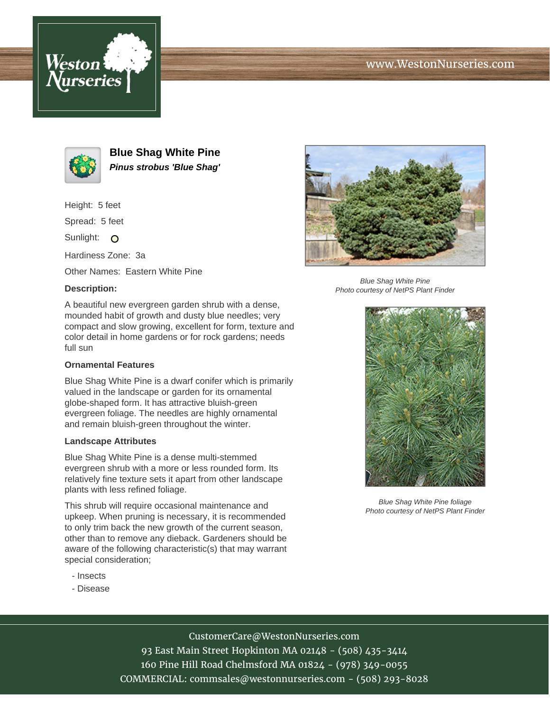





**Blue Shag White Pine Pinus strobus 'Blue Shag'**

Height: 5 feet

Spread: 5 feet

Sunlight: O

Hardiness Zone: 3a

Other Names: Eastern White Pine

## **Description:**

A beautiful new evergreen garden shrub with a dense, mounded habit of growth and dusty blue needles; very compact and slow growing, excellent for form, texture and color detail in home gardens or for rock gardens; needs full sun

## **Ornamental Features**

Blue Shag White Pine is a dwarf conifer which is primarily valued in the landscape or garden for its ornamental globe-shaped form. It has attractive bluish-green evergreen foliage. The needles are highly ornamental and remain bluish-green throughout the winter.

## **Landscape Attributes**

Blue Shag White Pine is a dense multi-stemmed evergreen shrub with a more or less rounded form. Its relatively fine texture sets it apart from other landscape plants with less refined foliage.

This shrub will require occasional maintenance and upkeep. When pruning is necessary, it is recommended to only trim back the new growth of the current season, other than to remove any dieback. Gardeners should be aware of the following characteristic(s) that may warrant special consideration;

- Insects
- Disease



Blue Shag White Pine Photo courtesy of NetPS Plant Finder



Blue Shag White Pine foliage Photo courtesy of NetPS Plant Finder

CustomerCare@WestonNurseries.com

93 East Main Street Hopkinton MA 02148 - (508) 435-3414 160 Pine Hill Road Chelmsford MA 01824 - (978) 349-0055 COMMERCIAL: commsales@westonnurseries.com - (508) 293-8028